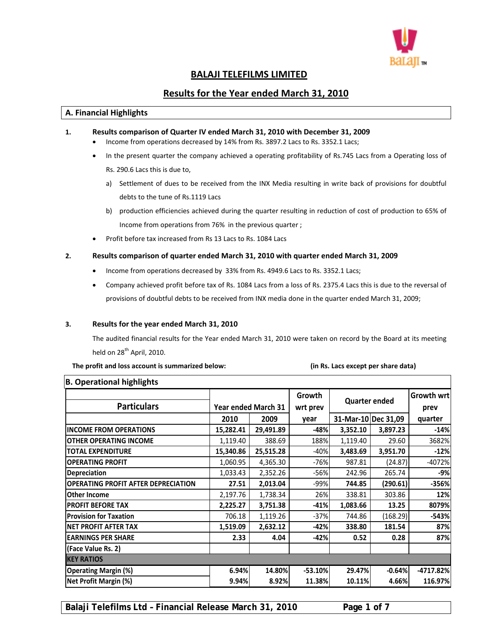

# **BALAJI TELEFILMS LIMITED**

# **Results for the Year ended March 31, 2010**

#### **A. Financial Highlights**

- **1. Results comparison of Quarter IV ended March 31, 2010 with December 31, 2009**
	- Income from operations decreased by 14% from Rs. 3897.2 Lacs to Rs. 3352.1 Lacs;
	- In the present quarter the company achieved a operating profitability of Rs.745 Lacs from a Operating loss of Rs. 290.6 Lacs this is due to,
		- a) Settlement of dues to be received from the INX Media resulting in write back of provisions for doubtful debts to the tune of Rs.1119 Lacs
		- b) production efficiencies achieved during the quarter resulting in reduction of cost of production to 65% of Income from operations from 76% in the previous quarter ;
	- Profit before tax increased from Rs 13 Lacs to Rs. 1084 Lacs

#### **2. Results comparison of quarter ended March 31, 2010 with quarter ended March 31, 2009**

- Income from operations decreased by 33% from Rs. 4949.6 Lacs to Rs. 3352.1 Lacs;
- Company achieved profit before tax of Rs. 1084 Lacs from a loss of Rs. 2375.4 Lacs this is due to the reversal of provisions of doubtful debts to be received from INX media done in the quarter ended March 31, 2009;

#### **3. Results for the year ended March 31, 2010**

The audited financial results for the Year ended March 31, 2010 were taken on record by the Board at its meeting held on  $28<sup>th</sup>$  April, 2010.

 **The profit and loss account is summarized below: (in Rs. Lacs except per share data)**

| <b>Year ended March 31</b> |           | Growth<br>wrt prev | <b>Quarter ended</b> |                     | Growth wrt<br>prev                      |
|----------------------------|-----------|--------------------|----------------------|---------------------|-----------------------------------------|
| 2010                       | 2009      | year               |                      |                     | quarter                                 |
| 15,282.41                  | 29,491.89 | $-48%$             | 3,352.10             | 3,897.23            | $-14%$                                  |
| 1,119.40                   | 388.69    | 188%               | 1,119.40             | 29.60               | 3682%                                   |
| 15,340.86                  | 25,515.28 | $-40%$             | 3,483.69             | 3,951.70            | $-12%$                                  |
| 1,060.95                   | 4,365.30  | $-76%$             | 987.81               | (24.87)             | $-4072%$                                |
| 1,033.43                   | 2,352.26  | $-56%$             | 242.96               | 265.74              | -9%l                                    |
| 27.51                      | 2,013.04  | $-99%$             | 744.85               | (290.61)            | $-356%$                                 |
| 2,197.76                   | 1,738.34  | 26%                | 338.81               | 303.86              | 12%                                     |
| 2,225.27                   | 3,751.38  |                    | 1,083.66             | 13.25               | 8079%                                   |
| 706.18                     | 1,119.26  | $-37%$             | 744.86               | (168.29)            | $-543%$                                 |
| 1,519.09                   | 2,632.12  | $-42%$             | 338.80               | 181.54              | 87%                                     |
| 2.33                       | 4.04      | $-42%$             | 0.52                 | 0.28                | 87%                                     |
|                            |           |                    |                      |                     |                                         |
|                            |           |                    |                      |                     |                                         |
|                            |           |                    |                      | $-0.64%$            | $-4717.82%$                             |
| 9.94%                      |           | 11.38%             |                      | 4.66%               | 116.97%                                 |
|                            | 6.94%     |                    | 14.80%<br>8.92%      | $-41%$<br>$-53.10%$ | 31-Mar-10 Dec 31,09<br>29.47%<br>10.11% |

**B. Operational highlights**

**Balaji Telefilms Ltd – Financial Release March 31, 2010 Page 1 of 7**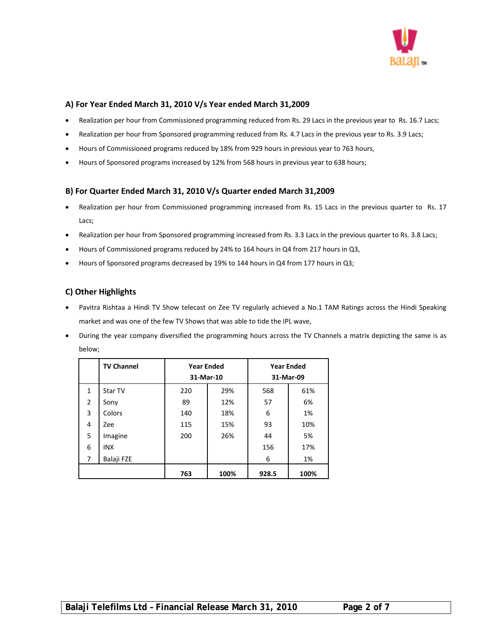

# **A) For Year Ended March 31, 2010 V/s Year ended March 31,2009**

- Realization per hour from Commissioned programming reduced from Rs. 29 Lacs in the previous year to Rs. 16.7 Lacs;
- Realization per hour from Sponsored programming reduced from Rs. 4.7 Lacs in the previous year to Rs. 3.9 Lacs;
- Hours of Commissioned programs reduced by 18% from 929 hours in previous year to 763 hours,
- Hours of Sponsored programs increased by 12% from 568 hours in previous year to 638 hours;

## **B) For Quarter Ended March 31, 2010 V/s Quarter ended March 31,2009**

- Realization per hour from Commissioned programming increased from Rs. 15 Lacs in the previous quarter to Rs. 17 Lacs;
- Realization per hour from Sponsored programming increased from Rs. 3.3 Lacs in the previous quarter to Rs. 3.8 Lacs;
- Hours of Commissioned programs reduced by 24% to 164 hours in Q4 from 217 hours in Q3,
- Hours of Sponsored programs decreased by 19% to 144 hours in Q4 from 177 hours in Q3;

## **C) Other Highlights**

- Pavitra Rishtaa a Hindi TV Show telecast on Zee TV regularly achieved a No.1 TAM Ratings across the Hindi Speaking market and was one of the few TV Shows that was able to tide the IPL wave,
- During the year company diversified the programming hours across the TV Channels a matrix depicting the same is as below;

|              | <b>TV Channel</b> | <b>Year Ended</b><br>31-Mar-10 |      |       | <b>Year Ended</b><br>31-Mar-09 |
|--------------|-------------------|--------------------------------|------|-------|--------------------------------|
| $\mathbf{1}$ | Star TV           | 220                            | 29%  | 568   | 61%                            |
| 2            | Sony              | 89                             | 12%  | 57    | 6%                             |
| 3            | Colors            | 140                            | 18%  | 6     | 1%                             |
| 4            | Zee               | 115                            | 15%  | 93    | 10%                            |
| 5            | Imagine           | 200                            | 26%  | 44    | 5%                             |
| 6            | <b>INX</b>        |                                |      | 156   | 17%                            |
| 7            | Balaji FZE        |                                |      | 6     | 1%                             |
|              |                   | 763                            | 100% | 928.5 | 100%                           |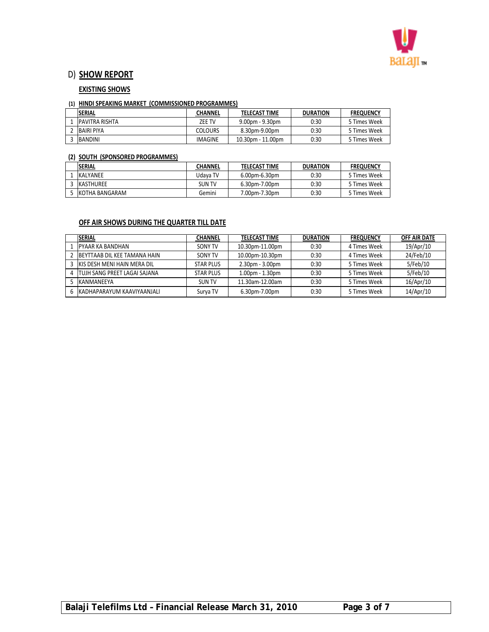

# D) **SHOW REPORT**

## **EXISTING SHOWS**

#### **(1) HINDI SPEAKING MARKET (COMMISSIONED PROGRAMMES)**

| <b>SERIAL</b>          | <b>CHANNEL</b> | <b>TELECAST TIME</b>    | <b>DURATION</b> | <b>FREQUENCY</b> |  |
|------------------------|----------------|-------------------------|-----------------|------------------|--|
| <b>IPAVITRA RISHTA</b> | ZEE TV         | $9.00$ pm - $9.30$ pm   | 0:30            | 5 Times Week     |  |
| <b>BAIRI PIYA</b>      | <b>COLOURS</b> | 8.30pm-9.00pm           | 0:30            | 5 Times Week     |  |
| BANDINI                | IMAGINE        | $10.30$ pm - $11.00$ pm | 0:30            | 5 Times Week     |  |

#### **(2) SOUTH (SPONSORED PROGRAMMES)**

| <b>SERIAL</b>    | <b>CHANNEL</b> | <b>TELECAST TIME</b> | <b>DURATION</b> | <b>FREQUENCY</b> |
|------------------|----------------|----------------------|-----------------|------------------|
| <b>KALYANEE</b>  | Udava TV       | 6.00pm-6.30pm        | 0:30            | 5 Times Week     |
| <b>KASTHUREE</b> | <b>SUN TV</b>  | $6.30$ pm-7.00pm     | 0:30            | 5 Times Week     |
| IKOTHA BANGARAM  | Gemini         | 7.00pm-7.30pm        | 0:30            | 5 Times Week     |

# **OFF AIR SHOWS DURING THE QUARTER TILL DATE**

| ISERIAL                              | <b>CHANNEL</b>   | <b>TELECAST TIME</b> | <b>DURATION</b> | <b>FREQUENCY</b> | OFF AIR DATE |
|--------------------------------------|------------------|----------------------|-----------------|------------------|--------------|
| <b>PYAAR KA BANDHAN</b>              | SONY TV          | 10.30pm-11.00pm      | 0:30            | 4 Times Week     | 19/Apr/10    |
| <b>IBEYTTAAB DIL KEE TAMANA HAIN</b> | SONY TV          | 10.00pm-10.30pm      | 0:30            | 4 Times Week     | 24/Feb/10    |
| KIS DESH MENI HAIN MERA DIL          | <b>STAR PLUS</b> | $2.30pm - 3.00pm$    | 0:30            | 5 Times Week     | 5/Feb/10     |
| ITUJH SANG PREET LAGAI SAJANA        | <b>STAR PLUS</b> | $1.00pm - 1.30pm$    | 0:30            | 5 Times Week     | 5/Feb/10     |
| <b>IKANMANFFYA</b>                   | SUN TV           | 11.30am-12.00am      | 0:30            | 5 Times Week     | 16/Apr/10    |
| 6 KADHAPARAYUM KAAVIYAANJALI         | Surva TV         | 6.30pm-7.00pm        | 0:30            | 5 Times Week     | 14/Apr/10    |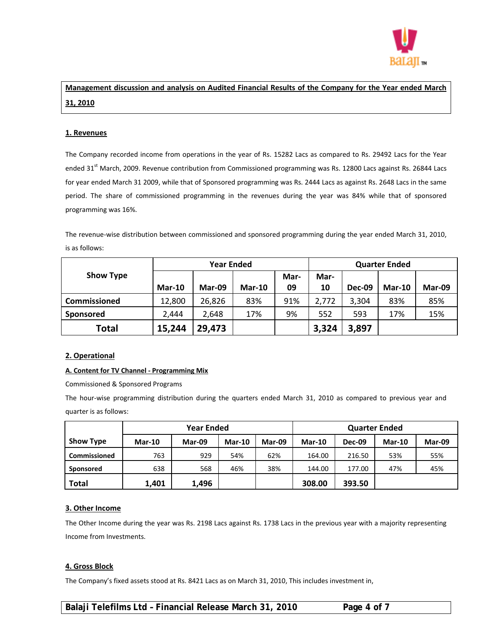

# **Management discussion and analysis on Audited Financial Results of the Company for the Year ended March 31, 2010**

#### **1. Revenues**

The Company recorded income from operations in the year of Rs. 15282 Lacs as compared to Rs. 29492 Lacs for the Year ended 31<sup>st</sup> March, 2009. Revenue contribution from Commissioned programming was Rs. 12800 Lacs against Rs. 26844 Lacs for year ended March 31 2009, while that of Sponsored programming was Rs. 2444 Lacs as against Rs. 2648 Lacs in the same period. The share of commissioned programming in the revenues during the year was 84% while that of sponsored programming was 16%.

The revenue-wise distribution between commissioned and sponsored programming during the year ended March 31, 2010, is as follows:

|                  | <b>Year Ended</b> |        |               |      | <b>Quarter Ended</b> |               |          |        |
|------------------|-------------------|--------|---------------|------|----------------------|---------------|----------|--------|
| <b>Show Type</b> |                   |        |               | Mar- | Mar-                 |               |          |        |
|                  | <b>Mar-10</b>     | Mar-09 | <b>Mar-10</b> | 09   | 10                   | <b>Dec-09</b> | $Mar-10$ | Mar-09 |
| Commissioned     | 12,800            | 26,826 | 83%           | 91%  | 2,772                | 3,304         | 83%      | 85%    |
| Sponsored        | 2.444             | 2,648  | 17%           | 9%   | 552                  | 593           | 17%      | 15%    |
| <b>Total</b>     | 15,244            | 29,473 |               |      | 3,324                | 3,897         |          |        |

#### **2. Operational**

#### **A. Content for TV Channel ‐ Programming Mix**

Commissioned & Sponsored Programs

The hour‐wise programming distribution during the quarters ended March 31, 2010 as compared to previous year and quarter is as follows:

|                     |               | <b>Year Ended</b> |          | <b>Quarter Ended</b> |               |               |               |        |
|---------------------|---------------|-------------------|----------|----------------------|---------------|---------------|---------------|--------|
| <b>Show Type</b>    | <b>Mar-10</b> | Mar-09            | $Mar-10$ | Mar-09               | <b>Mar-10</b> | <b>Dec-09</b> | <b>Mar-10</b> | Mar-09 |
| <b>Commissioned</b> | 763           | 929               | 54%      | 62%                  | 164.00        | 216.50        | 53%           | 55%    |
| <b>Sponsored</b>    | 638           | 568               | 46%      | 38%                  | 144.00        | 177.00        | 47%           | 45%    |
| <b>Total</b>        | 1,401         | 1,496             |          |                      | 308.00        | 393.50        |               |        |

#### **3. Other Income**

The Other Income during the year was Rs. 2198 Lacs against Rs. 1738 Lacs in the previous year with a majority representing Income from Investments.

#### **4. Gross Block**

The Company's fixed assets stood at Rs. 8421 Lacs as on March 31, 2010, This includes investment in,

**Balaji Telefilms Ltd – Financial Release March 31, 2010 Page 4 of 7**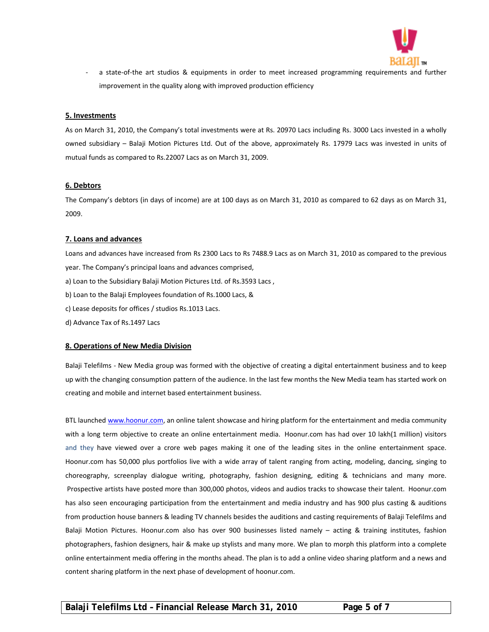

a state-of-the art studios & equipments in order to meet increased programming requirements and further improvement in the quality along with improved production efficiency

#### **5. Investments**

As on March 31, 2010, the Company's total investments were at Rs. 20970 Lacs including Rs. 3000 Lacs invested in a wholly owned subsidiary – Balaji Motion Pictures Ltd. Out of the above, approximately Rs. 17979 Lacs was invested in units of mutual funds as compared to Rs.22007 Lacs as on March 31, 2009.

#### **6. Debtors**

The Company's debtors (in days of income) are at 100 days as on March 31, 2010 as compared to 62 days as on March 31, 2009.

## **7. Loans and advances**

Loans and advances have increased from Rs 2300 Lacs to Rs 7488.9 Lacs as on March 31, 2010 as compared to the previous year. The Company's principal loans and advances comprised,

- a) Loan to the Subsidiary Balaji Motion Pictures Ltd. of Rs.3593 Lacs ,
- b) Loan to the Balaji Employees foundation of Rs.1000 Lacs, &
- c) Lease deposits for offices / studios Rs.1013 Lacs.
- d) Advance Tax of Rs.1497 Lacs

#### **8. Operations of New Media Division**

Balaji Telefilms ‐ New Media group was formed with the objective of creating a digital entertainment business and to keep up with the changing consumption pattern of the audience. In the last few months the New Media team has started work on creating and mobile and internet based entertainment business.

BTL launched www.hoonur.com, an online talent showcase and hiring platform for the entertainment and media community with a long term objective to create an online entertainment media. Hoonur.com has had over 10 lakh(1 million) visitors and they have viewed over a crore web pages making it one of the leading sites in the online entertainment space. Hoonur.com has 50,000 plus portfolios live with a wide array of talent ranging from acting, modeling, dancing, singing to choreography, screenplay dialogue writing, photography, fashion designing, editing & technicians and many more. Prospective artists have posted more than 300,000 photos, videos and audios tracks to showcase their talent. Hoonur.com has also seen encouraging participation from the entertainment and media industry and has 900 plus casting & auditions from production house banners & leading TV channels besides the auditions and casting requirements of Balaji Telefilms and Balaji Motion Pictures. Hoonur.com also has over 900 businesses listed namely – acting & training institutes, fashion photographers, fashion designers, hair & make up stylists and many more. We plan to morph this platform into a complete online entertainment media offering in the months ahead. The plan is to add a online video sharing platform and a news and content sharing platform in the next phase of development of hoonur.com.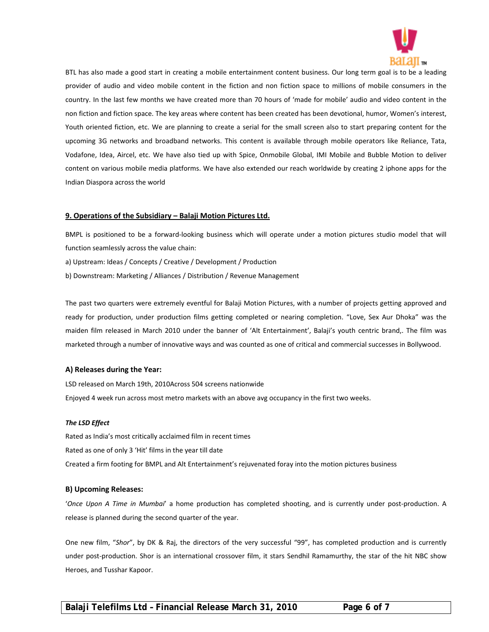

BTL has also made a good start in creating a mobile entertainment content business. Our long term goal is to be a leading provider of audio and video mobile content in the fiction and non fiction space to millions of mobile consumers in the country. In the last few months we have created more than 70 hours of 'made for mobile' audio and video content in the non fiction and fiction space. The key areas where content has been created has been devotional, humor, Women's interest, Youth oriented fiction, etc. We are planning to create a serial for the small screen also to start preparing content for the upcoming 3G networks and broadband networks. This content is available through mobile operators like Reliance, Tata, Vodafone, Idea, Aircel, etc. We have also tied up with Spice, Onmobile Global, IMI Mobile and Bubble Motion to deliver content on various mobile media platforms. We have also extended our reach worldwide by creating 2 iphone apps for the Indian Diaspora across the world

#### **9. Operations of the Subsidiary – Balaji Motion Pictures Ltd.**

BMPL is positioned to be a forward-looking business which will operate under a motion pictures studio model that will function seamlessly across the value chain:

a) Upstream: Ideas / Concepts / Creative / Development / Production

b) Downstream: Marketing / Alliances / Distribution / Revenue Management

The past two quarters were extremely eventful for Balaji Motion Pictures, with a number of projects getting approved and ready for production, under production films getting completed or nearing completion. "Love, Sex Aur Dhoka" was the maiden film released in March 2010 under the banner of 'Alt Entertainment', Balaji's youth centric brand,. The film was marketed through a number of innovative ways and was counted as one of critical and commercial successes in Bollywood.

#### **A) Releases during the Year:**

LSD released on March 19th, 2010Across 504 screens nationwide Enjoyed 4 week run across most metro markets with an above avg occupancy in the first two weeks.

#### *The LSD Effect*

Rated as India's most critically acclaimed film in recent times Rated as one of only 3 'Hit' films in the year till date Created a firm footing for BMPL and Alt Entertainment's rejuvenated foray into the motion pictures business

#### **B) Upcoming Releases:**

'*Once Upon A Time in Mumbai*' a home production has completed shooting, and is currently under post‐production. A release is planned during the second quarter of the year.

One new film, "*Shor*", by DK & Raj, the directors of the very successful "99", has completed production and is currently under post-production. Shor is an international crossover film, it stars Sendhil Ramamurthy, the star of the hit NBC show Heroes, and Tusshar Kapoor.

**Balaji Telefilms Ltd – Financial Release March 31, 2010 Page 6 of 7**